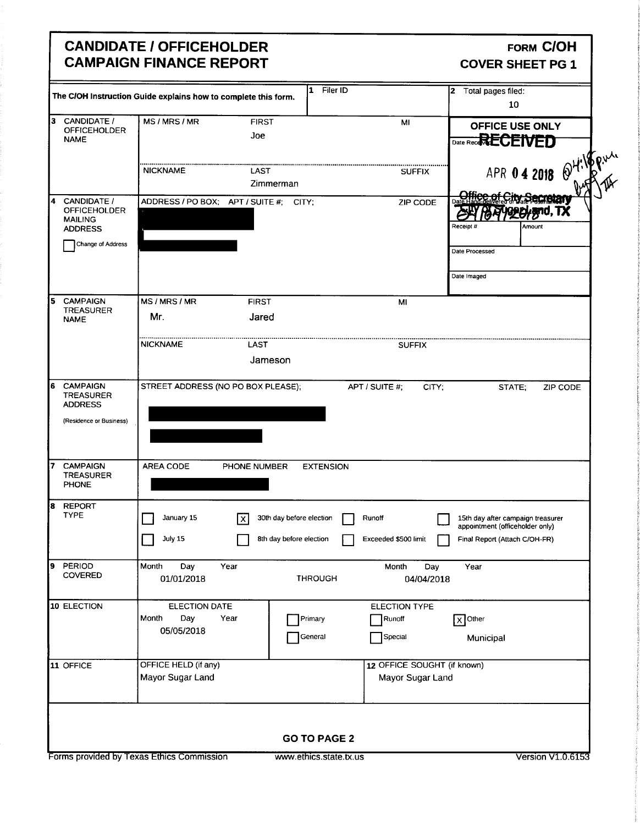#### CANDIDATE / OFFICEHOLDER FORM COH CAMPAIGN FINANCE REPORT COVER SHEET PG 1

| CANDIDATE /                                                                  | The C/OH Instruction Guide explains how to complete this form. |                                  |                                                 | 10                                                               |
|------------------------------------------------------------------------------|----------------------------------------------------------------|----------------------------------|-------------------------------------------------|------------------------------------------------------------------|
| 3                                                                            |                                                                |                                  |                                                 |                                                                  |
| <b>OFFICEHOLDER</b><br><b>NAME</b>                                           | MS/MRS/MR                                                      | <b>FIRST</b><br>Joe              | MI                                              | OFFICE USE ONLY<br>Date Rece <b>RECEIVED</b>                     |
|                                                                              | <b>NICKNAME</b>                                                | LAST<br>Zimmerman                | <b>SUFFIX</b>                                   | APR 04 2018 24:15 Pull                                           |
| CANDIDATE /<br>14<br><b>OFFICEHOLDER</b><br><b>MAILING</b><br><b>ADDRESS</b> | ADDRESS / PO BOX; APT / SUITE #: CITY;                         |                                  | ZIP CODE                                        | Receipt#<br>Amount                                               |
| <b>Change of Address</b>                                                     |                                                                |                                  |                                                 | Date Processed<br>Date Imaged                                    |
| <b>CAMPAIGN</b><br>5                                                         | MS / MRS / MR                                                  | <b>FIRST</b>                     | MI                                              |                                                                  |
| <b>TREASURER</b><br><b>NAME</b>                                              | Mr.                                                            | Jared                            |                                                 |                                                                  |
|                                                                              | <b>NICKNAME</b>                                                | LAST                             | <b>SUFFIX</b>                                   |                                                                  |
|                                                                              |                                                                | Jameson                          |                                                 |                                                                  |
| 6<br><b>CAMPAIGN</b><br><b>TREASURER</b><br><b>ADDRESS</b>                   | STREET ADDRESS (NO PO BOX PLEASE);                             |                                  | APT / SUITE #;<br>CITY;                         | STATE;<br>ZIP CODE                                               |
| (Residence or Business)                                                      |                                                                |                                  |                                                 |                                                                  |
| <b>CAMPAIGN</b><br><b>TREASURER</b><br>PHONE                                 | AREA CODE                                                      | PHONE NUMBER<br><b>EXTENSION</b> |                                                 |                                                                  |
| <b>REPORT</b><br>8<br><b>TYPE</b>                                            | January 15                                                     | 30th day before election<br>l x  | Runoff                                          | 15th day after campaign treasurer                                |
|                                                                              | July 15                                                        | 8th day before election          | Exceeded \$500 limit                            | appointment (officeholder only)<br>Final Report (Attach C/OH-FR) |
| PERIOD<br>9<br><b>COVERED</b>                                                | Month<br>Day<br>Year<br>01/01/2018                             | <b>THROUGH</b>                   | Month<br>Day<br>04/04/2018                      | Year                                                             |
| 10 ELECTION                                                                  | ELECTION DATE<br>Day<br>Month<br>Year<br>05/05/2018            | Primary<br>General               | ELECTION TYPE<br>Runoff<br>Special              | $\sqrt{X}$ Other<br>Municipal                                    |
| 11 OFFICE                                                                    | OFFICE HELD (if any)<br>Mayor Sugar Land                       |                                  | 12 OFFICE SOUGHT (if known)<br>Mayor Sugar Land |                                                                  |
|                                                                              |                                                                | <b>GO TO PAGE 2</b>              |                                                 |                                                                  |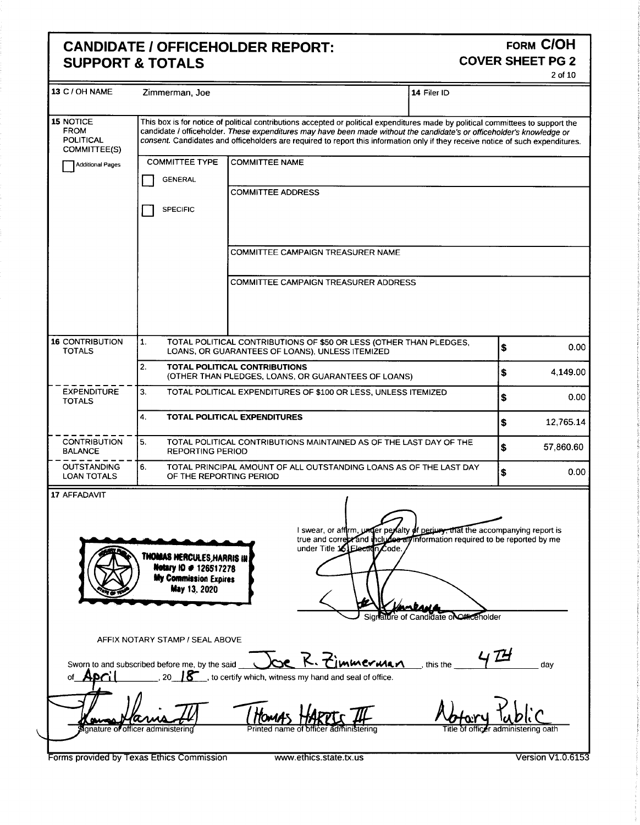### CANDIDATE / OFFICEHOLDER REPORT:<br>SUPPORT & TOTALS COVER SHEET PG 2 **SUPPORT & TOTALS**

| 2 of 10<br>13 C / OH NAME Zimmerman, Joe<br>$14$ Filer ID<br>15 NOTICE<br>This box is for notice of political contributions accepted or political expenditures made by political committees to support the<br><b>FROM</b><br>candidate / officeholder. These expenditures may have been made without the candidate's or officeholder's knowledge or<br>POLITICAL<br>COMMITTEE(S)<br>consent. Candidates and officeholders are required to report this information only if they receive notice of such expenditures.<br>COMMITTEE TYPE COMMITTEE NAME<br>Additional Pages<br>GENERAL<br>COMMITTEE ADDRESS<br>$\Box$ SPECIFIC<br>COMMITTEE CAMPAIGN TREASURER NAME<br>COMMITTEE CAMPAIGN TREASURER ADDRESS<br>16 CONTRIBUTION<br>TOTAL POLITICAL CONTRIBUTIONS OF \$50 OR LESS (OTHER THAN PLEDGES,<br>0.00<br><b>TOTALS</b><br>LOANS, OR GUARANTEES OF LOANS), UNLESS ITEMIZED<br>TOTAL POLITICAL CONTRIBUTIONS<br>4,149.00<br>(OTHER THAN PLEDGES, LOANS, OR GUARANTEES OF LOANS)<br>- - - - - - - - - - - +<br>EXPENDITURE = 13<br>TOTAL POLITICAL EXPENDITURES OF \$100 OR LESS, UNLESS ITEMIZED<br>0.00<br><b>TOTALS</b><br><b>TOTAL POLITICAL EXPENDITURES</b><br>12,765.14<br>$\begin{bmatrix} - & - & - & - & - & - \\ - & \end{bmatrix}$<br>TOTAL POLITICAL CONTRIBUTIONS MAINTAINED AS OF THE LAST DAY OF THE<br>57,860.60<br><b>BALANCE</b><br>REPORTING PERIOD<br>$        +$<br>TOTAL PRINCIPAL AMOUNT OF ALL OUTSTANDING LOANS AS OF THE LAST DAY<br>0.00<br><b>LOAN TOTALS</b><br>OF THE REPORTING PERIOD<br>17 AFFADAVIT<br>$\sim$<br>I swear, or affirm, under perfaity of perjuny, that the accompanying report is<br>true and correst and theliuse and information required to be reported by me<br>under Title is Election Code.<br>THOMAS HERCULES, HARRIS IN<br>Metary 10 # 126517278<br>My Commission Expires<br>May 13, 2020<br><b>PERMIT AND ARRANGEMENT</b><br>Signalitie of Candidate of Catherine Monte<br>AFFIX NOTARY STAMP / SEAL ABOVE<br>Sworn to and subscribed before me, by the said <b>COC</b> R. Zimmerman this the 47H day<br>of <b>April</b> 20 18, to certify which, witness my hand and seal of office.<br>$\rightarrow$<br>Motory Kublic<br>Houses<br>$\frac{1}{\text{square}}$<br>Forms provided by Texas Ethics Commission<br>Version V1.0.6153<br>www.ethics.state.tx.us | <u> Andrews and American and American and American and American and American and American and American and American and American and American and American and American and American and American and American and American and </u><br><b>CANDIDATE / OFFICEHOLDER REPORT:</b><br><b>SUPPORT &amp; TOTALS</b> | FORM C/OH<br><b>COVER SHEET PG 2</b> |
|----------------------------------------------------------------------------------------------------------------------------------------------------------------------------------------------------------------------------------------------------------------------------------------------------------------------------------------------------------------------------------------------------------------------------------------------------------------------------------------------------------------------------------------------------------------------------------------------------------------------------------------------------------------------------------------------------------------------------------------------------------------------------------------------------------------------------------------------------------------------------------------------------------------------------------------------------------------------------------------------------------------------------------------------------------------------------------------------------------------------------------------------------------------------------------------------------------------------------------------------------------------------------------------------------------------------------------------------------------------------------------------------------------------------------------------------------------------------------------------------------------------------------------------------------------------------------------------------------------------------------------------------------------------------------------------------------------------------------------------------------------------------------------------------------------------------------------------------------------------------------------------------------------------------------------------------------------------------------------------------------------------------------------------------------------------------------------------------------------------------------------------------------------------------------------------------------------------------------------------------------------------------------------------------------------------------|----------------------------------------------------------------------------------------------------------------------------------------------------------------------------------------------------------------------------------------------------------------------------------------------------------------|--------------------------------------|
|                                                                                                                                                                                                                                                                                                                                                                                                                                                                                                                                                                                                                                                                                                                                                                                                                                                                                                                                                                                                                                                                                                                                                                                                                                                                                                                                                                                                                                                                                                                                                                                                                                                                                                                                                                                                                                                                                                                                                                                                                                                                                                                                                                                                                                                                                                                      |                                                                                                                                                                                                                                                                                                                |                                      |
|                                                                                                                                                                                                                                                                                                                                                                                                                                                                                                                                                                                                                                                                                                                                                                                                                                                                                                                                                                                                                                                                                                                                                                                                                                                                                                                                                                                                                                                                                                                                                                                                                                                                                                                                                                                                                                                                                                                                                                                                                                                                                                                                                                                                                                                                                                                      |                                                                                                                                                                                                                                                                                                                |                                      |
|                                                                                                                                                                                                                                                                                                                                                                                                                                                                                                                                                                                                                                                                                                                                                                                                                                                                                                                                                                                                                                                                                                                                                                                                                                                                                                                                                                                                                                                                                                                                                                                                                                                                                                                                                                                                                                                                                                                                                                                                                                                                                                                                                                                                                                                                                                                      |                                                                                                                                                                                                                                                                                                                |                                      |
|                                                                                                                                                                                                                                                                                                                                                                                                                                                                                                                                                                                                                                                                                                                                                                                                                                                                                                                                                                                                                                                                                                                                                                                                                                                                                                                                                                                                                                                                                                                                                                                                                                                                                                                                                                                                                                                                                                                                                                                                                                                                                                                                                                                                                                                                                                                      |                                                                                                                                                                                                                                                                                                                |                                      |
|                                                                                                                                                                                                                                                                                                                                                                                                                                                                                                                                                                                                                                                                                                                                                                                                                                                                                                                                                                                                                                                                                                                                                                                                                                                                                                                                                                                                                                                                                                                                                                                                                                                                                                                                                                                                                                                                                                                                                                                                                                                                                                                                                                                                                                                                                                                      |                                                                                                                                                                                                                                                                                                                |                                      |
|                                                                                                                                                                                                                                                                                                                                                                                                                                                                                                                                                                                                                                                                                                                                                                                                                                                                                                                                                                                                                                                                                                                                                                                                                                                                                                                                                                                                                                                                                                                                                                                                                                                                                                                                                                                                                                                                                                                                                                                                                                                                                                                                                                                                                                                                                                                      |                                                                                                                                                                                                                                                                                                                |                                      |
|                                                                                                                                                                                                                                                                                                                                                                                                                                                                                                                                                                                                                                                                                                                                                                                                                                                                                                                                                                                                                                                                                                                                                                                                                                                                                                                                                                                                                                                                                                                                                                                                                                                                                                                                                                                                                                                                                                                                                                                                                                                                                                                                                                                                                                                                                                                      |                                                                                                                                                                                                                                                                                                                |                                      |
|                                                                                                                                                                                                                                                                                                                                                                                                                                                                                                                                                                                                                                                                                                                                                                                                                                                                                                                                                                                                                                                                                                                                                                                                                                                                                                                                                                                                                                                                                                                                                                                                                                                                                                                                                                                                                                                                                                                                                                                                                                                                                                                                                                                                                                                                                                                      |                                                                                                                                                                                                                                                                                                                |                                      |
|                                                                                                                                                                                                                                                                                                                                                                                                                                                                                                                                                                                                                                                                                                                                                                                                                                                                                                                                                                                                                                                                                                                                                                                                                                                                                                                                                                                                                                                                                                                                                                                                                                                                                                                                                                                                                                                                                                                                                                                                                                                                                                                                                                                                                                                                                                                      |                                                                                                                                                                                                                                                                                                                |                                      |
|                                                                                                                                                                                                                                                                                                                                                                                                                                                                                                                                                                                                                                                                                                                                                                                                                                                                                                                                                                                                                                                                                                                                                                                                                                                                                                                                                                                                                                                                                                                                                                                                                                                                                                                                                                                                                                                                                                                                                                                                                                                                                                                                                                                                                                                                                                                      |                                                                                                                                                                                                                                                                                                                |                                      |
|                                                                                                                                                                                                                                                                                                                                                                                                                                                                                                                                                                                                                                                                                                                                                                                                                                                                                                                                                                                                                                                                                                                                                                                                                                                                                                                                                                                                                                                                                                                                                                                                                                                                                                                                                                                                                                                                                                                                                                                                                                                                                                                                                                                                                                                                                                                      |                                                                                                                                                                                                                                                                                                                |                                      |
|                                                                                                                                                                                                                                                                                                                                                                                                                                                                                                                                                                                                                                                                                                                                                                                                                                                                                                                                                                                                                                                                                                                                                                                                                                                                                                                                                                                                                                                                                                                                                                                                                                                                                                                                                                                                                                                                                                                                                                                                                                                                                                                                                                                                                                                                                                                      |                                                                                                                                                                                                                                                                                                                |                                      |
|                                                                                                                                                                                                                                                                                                                                                                                                                                                                                                                                                                                                                                                                                                                                                                                                                                                                                                                                                                                                                                                                                                                                                                                                                                                                                                                                                                                                                                                                                                                                                                                                                                                                                                                                                                                                                                                                                                                                                                                                                                                                                                                                                                                                                                                                                                                      |                                                                                                                                                                                                                                                                                                                |                                      |
|                                                                                                                                                                                                                                                                                                                                                                                                                                                                                                                                                                                                                                                                                                                                                                                                                                                                                                                                                                                                                                                                                                                                                                                                                                                                                                                                                                                                                                                                                                                                                                                                                                                                                                                                                                                                                                                                                                                                                                                                                                                                                                                                                                                                                                                                                                                      |                                                                                                                                                                                                                                                                                                                |                                      |
|                                                                                                                                                                                                                                                                                                                                                                                                                                                                                                                                                                                                                                                                                                                                                                                                                                                                                                                                                                                                                                                                                                                                                                                                                                                                                                                                                                                                                                                                                                                                                                                                                                                                                                                                                                                                                                                                                                                                                                                                                                                                                                                                                                                                                                                                                                                      |                                                                                                                                                                                                                                                                                                                |                                      |
|                                                                                                                                                                                                                                                                                                                                                                                                                                                                                                                                                                                                                                                                                                                                                                                                                                                                                                                                                                                                                                                                                                                                                                                                                                                                                                                                                                                                                                                                                                                                                                                                                                                                                                                                                                                                                                                                                                                                                                                                                                                                                                                                                                                                                                                                                                                      |                                                                                                                                                                                                                                                                                                                |                                      |
|                                                                                                                                                                                                                                                                                                                                                                                                                                                                                                                                                                                                                                                                                                                                                                                                                                                                                                                                                                                                                                                                                                                                                                                                                                                                                                                                                                                                                                                                                                                                                                                                                                                                                                                                                                                                                                                                                                                                                                                                                                                                                                                                                                                                                                                                                                                      |                                                                                                                                                                                                                                                                                                                |                                      |
|                                                                                                                                                                                                                                                                                                                                                                                                                                                                                                                                                                                                                                                                                                                                                                                                                                                                                                                                                                                                                                                                                                                                                                                                                                                                                                                                                                                                                                                                                                                                                                                                                                                                                                                                                                                                                                                                                                                                                                                                                                                                                                                                                                                                                                                                                                                      |                                                                                                                                                                                                                                                                                                                |                                      |
|                                                                                                                                                                                                                                                                                                                                                                                                                                                                                                                                                                                                                                                                                                                                                                                                                                                                                                                                                                                                                                                                                                                                                                                                                                                                                                                                                                                                                                                                                                                                                                                                                                                                                                                                                                                                                                                                                                                                                                                                                                                                                                                                                                                                                                                                                                                      |                                                                                                                                                                                                                                                                                                                |                                      |
|                                                                                                                                                                                                                                                                                                                                                                                                                                                                                                                                                                                                                                                                                                                                                                                                                                                                                                                                                                                                                                                                                                                                                                                                                                                                                                                                                                                                                                                                                                                                                                                                                                                                                                                                                                                                                                                                                                                                                                                                                                                                                                                                                                                                                                                                                                                      |                                                                                                                                                                                                                                                                                                                |                                      |
|                                                                                                                                                                                                                                                                                                                                                                                                                                                                                                                                                                                                                                                                                                                                                                                                                                                                                                                                                                                                                                                                                                                                                                                                                                                                                                                                                                                                                                                                                                                                                                                                                                                                                                                                                                                                                                                                                                                                                                                                                                                                                                                                                                                                                                                                                                                      |                                                                                                                                                                                                                                                                                                                |                                      |
|                                                                                                                                                                                                                                                                                                                                                                                                                                                                                                                                                                                                                                                                                                                                                                                                                                                                                                                                                                                                                                                                                                                                                                                                                                                                                                                                                                                                                                                                                                                                                                                                                                                                                                                                                                                                                                                                                                                                                                                                                                                                                                                                                                                                                                                                                                                      |                                                                                                                                                                                                                                                                                                                |                                      |
|                                                                                                                                                                                                                                                                                                                                                                                                                                                                                                                                                                                                                                                                                                                                                                                                                                                                                                                                                                                                                                                                                                                                                                                                                                                                                                                                                                                                                                                                                                                                                                                                                                                                                                                                                                                                                                                                                                                                                                                                                                                                                                                                                                                                                                                                                                                      |                                                                                                                                                                                                                                                                                                                |                                      |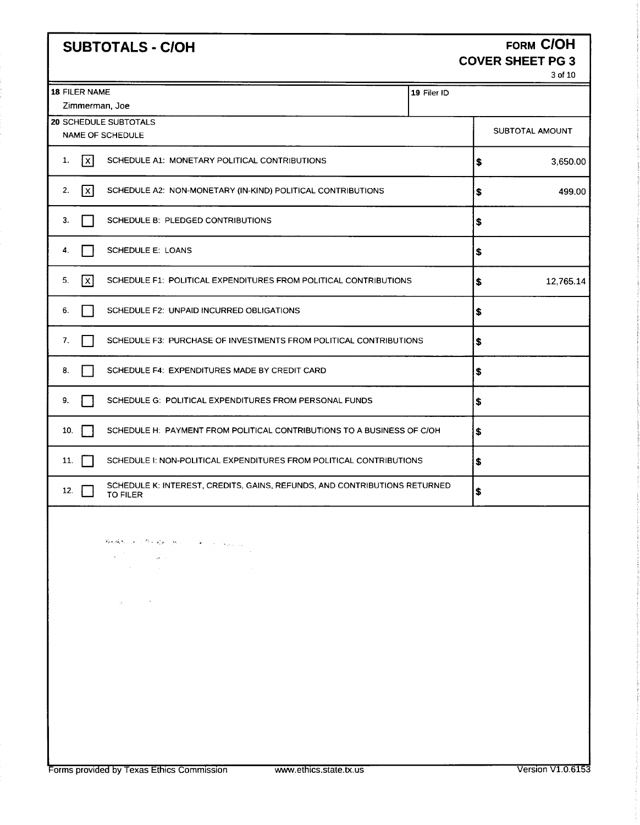# SUBTOTALS - C/OH FORM COH

# COVER SHEET PG 3

3of10

| 19 Filer ID<br>SUBTOTAL AMOUNT<br> \$ |                                                                                                                                                                                                                                                                                                 |
|---------------------------------------|-------------------------------------------------------------------------------------------------------------------------------------------------------------------------------------------------------------------------------------------------------------------------------------------------|
|                                       |                                                                                                                                                                                                                                                                                                 |
|                                       |                                                                                                                                                                                                                                                                                                 |
|                                       | 3,650.00                                                                                                                                                                                                                                                                                        |
| \$                                    | 499.00                                                                                                                                                                                                                                                                                          |
| \$                                    |                                                                                                                                                                                                                                                                                                 |
| \$                                    |                                                                                                                                                                                                                                                                                                 |
| \$                                    | 12,765.14                                                                                                                                                                                                                                                                                       |
| \$                                    |                                                                                                                                                                                                                                                                                                 |
| \$                                    |                                                                                                                                                                                                                                                                                                 |
| \$                                    |                                                                                                                                                                                                                                                                                                 |
| S                                     |                                                                                                                                                                                                                                                                                                 |
| \$                                    |                                                                                                                                                                                                                                                                                                 |
| \$                                    |                                                                                                                                                                                                                                                                                                 |
| \$                                    |                                                                                                                                                                                                                                                                                                 |
|                                       |                                                                                                                                                                                                                                                                                                 |
|                                       | SCHEDULE F3: PURCHASE OF INVESTMENTS FROM POLITICAL CONTRIBUTIONS<br>SCHEDULE H: PAYMENT FROM POLITICAL CONTRIBUTIONS TO A BUSINESS OF C/OH<br>SCHEDULE 1: NON-POLITICAL EXPENDITURES FROM POLITICAL CONTRIBUTIONS<br>SCHEDULE K: INTEREST, CREDITS, GAINS, REFUNDS, AND CONTRIBUTIONS RETURNED |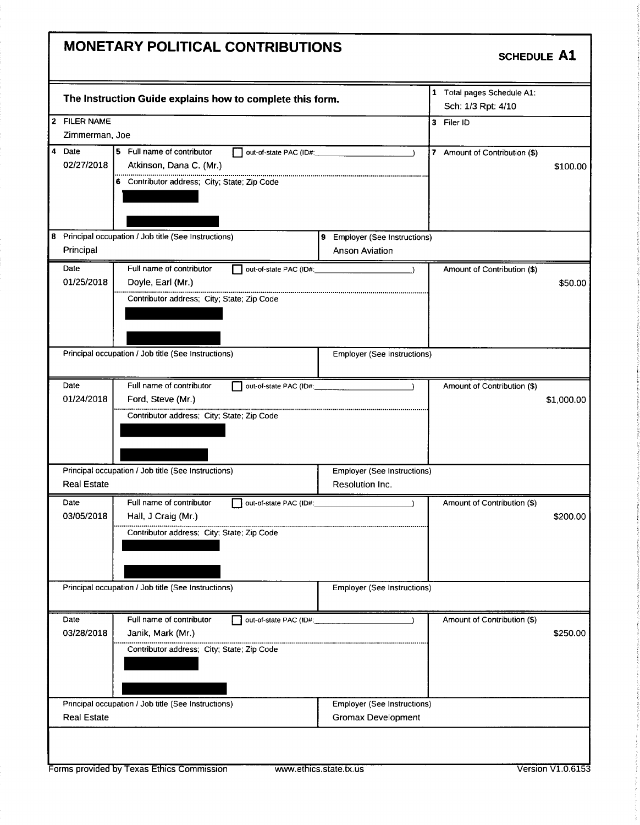# MONETARY POLITICAL CONTRIBUTIONS

SCHEDULE A1

| 1 Total pages Schedule A1:<br>The Instruction Guide explains how to complete this form.<br>Sch: 1/3 Rpt: 4/10<br>2 FILER NAME<br>3 Filer ID<br>Zimmerman, Joe<br>4 Date<br>5 Full name of contributor<br>out-of-state PAC (ID#:<br>7 Amount of Contribution (\$)<br>$\lambda$<br>02/27/2018<br>Atkinson, Dana C. (Mr.)<br>\$100.00<br>6 Contributor address; City; State; Zip Code<br>8 Principal occupation / Job title (See Instructions)<br>9 Employer (See Instructions)<br>Principal<br><b>Anson Aviation</b><br>Date<br>Full name of contributor<br>out-of-state PAC (ID#: 2000)<br>Amount of Contribution (\$)<br>$\rightarrow$<br>01/25/2018<br>Doyle, Earl (Mr.)<br>\$50.00<br>Contributor address; City; State; Zip Code<br>Principal occupation / Job title (See Instructions)<br><b>Employer (See Instructions)</b><br>Full name of contributor<br>Date<br>out-of-state PAC (ID#:<br>Amount of Contribution (\$)<br>01/24/2018<br>Ford, Steve (Mr.)<br>\$1,000.00<br>Contributor address; City; State; Zip Code<br>Principal occupation / Job title (See Instructions)<br><b>Employer (See Instructions)</b><br><b>Real Estate</b><br>Resolution Inc.<br>Full name of contributor<br>Date<br>Amount of Contribution (\$)<br>out-of-state PAC (ID#:<br>03/05/2018<br>Hall, J Craig (Mr.)<br>\$200.00<br>Contributor address; City; State; Zip Code<br>Principal occupation / Job title (See Instructions)<br><b>Employer (See Instructions)</b><br>Full name of contributor<br>Date<br>Amount of Contribution (\$)<br>out-of-state PAC (ID#:<br>$\lambda$<br>03/28/2018<br>\$250.00<br>Janik, Mark (Mr.)<br>Contributor address; City; State; Zip Code<br>Principal occupation / Job title (See Instructions)<br><b>Employer (See Instructions)</b><br><b>Real Estate</b><br><b>Gromax Development</b> |  |  |  |  |
|-------------------------------------------------------------------------------------------------------------------------------------------------------------------------------------------------------------------------------------------------------------------------------------------------------------------------------------------------------------------------------------------------------------------------------------------------------------------------------------------------------------------------------------------------------------------------------------------------------------------------------------------------------------------------------------------------------------------------------------------------------------------------------------------------------------------------------------------------------------------------------------------------------------------------------------------------------------------------------------------------------------------------------------------------------------------------------------------------------------------------------------------------------------------------------------------------------------------------------------------------------------------------------------------------------------------------------------------------------------------------------------------------------------------------------------------------------------------------------------------------------------------------------------------------------------------------------------------------------------------------------------------------------------------------------------------------------------------------------------------------------------------------------------------------------------------|--|--|--|--|
|                                                                                                                                                                                                                                                                                                                                                                                                                                                                                                                                                                                                                                                                                                                                                                                                                                                                                                                                                                                                                                                                                                                                                                                                                                                                                                                                                                                                                                                                                                                                                                                                                                                                                                                                                                                                                   |  |  |  |  |
|                                                                                                                                                                                                                                                                                                                                                                                                                                                                                                                                                                                                                                                                                                                                                                                                                                                                                                                                                                                                                                                                                                                                                                                                                                                                                                                                                                                                                                                                                                                                                                                                                                                                                                                                                                                                                   |  |  |  |  |
|                                                                                                                                                                                                                                                                                                                                                                                                                                                                                                                                                                                                                                                                                                                                                                                                                                                                                                                                                                                                                                                                                                                                                                                                                                                                                                                                                                                                                                                                                                                                                                                                                                                                                                                                                                                                                   |  |  |  |  |
|                                                                                                                                                                                                                                                                                                                                                                                                                                                                                                                                                                                                                                                                                                                                                                                                                                                                                                                                                                                                                                                                                                                                                                                                                                                                                                                                                                                                                                                                                                                                                                                                                                                                                                                                                                                                                   |  |  |  |  |
|                                                                                                                                                                                                                                                                                                                                                                                                                                                                                                                                                                                                                                                                                                                                                                                                                                                                                                                                                                                                                                                                                                                                                                                                                                                                                                                                                                                                                                                                                                                                                                                                                                                                                                                                                                                                                   |  |  |  |  |
|                                                                                                                                                                                                                                                                                                                                                                                                                                                                                                                                                                                                                                                                                                                                                                                                                                                                                                                                                                                                                                                                                                                                                                                                                                                                                                                                                                                                                                                                                                                                                                                                                                                                                                                                                                                                                   |  |  |  |  |
|                                                                                                                                                                                                                                                                                                                                                                                                                                                                                                                                                                                                                                                                                                                                                                                                                                                                                                                                                                                                                                                                                                                                                                                                                                                                                                                                                                                                                                                                                                                                                                                                                                                                                                                                                                                                                   |  |  |  |  |
|                                                                                                                                                                                                                                                                                                                                                                                                                                                                                                                                                                                                                                                                                                                                                                                                                                                                                                                                                                                                                                                                                                                                                                                                                                                                                                                                                                                                                                                                                                                                                                                                                                                                                                                                                                                                                   |  |  |  |  |
|                                                                                                                                                                                                                                                                                                                                                                                                                                                                                                                                                                                                                                                                                                                                                                                                                                                                                                                                                                                                                                                                                                                                                                                                                                                                                                                                                                                                                                                                                                                                                                                                                                                                                                                                                                                                                   |  |  |  |  |
|                                                                                                                                                                                                                                                                                                                                                                                                                                                                                                                                                                                                                                                                                                                                                                                                                                                                                                                                                                                                                                                                                                                                                                                                                                                                                                                                                                                                                                                                                                                                                                                                                                                                                                                                                                                                                   |  |  |  |  |
|                                                                                                                                                                                                                                                                                                                                                                                                                                                                                                                                                                                                                                                                                                                                                                                                                                                                                                                                                                                                                                                                                                                                                                                                                                                                                                                                                                                                                                                                                                                                                                                                                                                                                                                                                                                                                   |  |  |  |  |
|                                                                                                                                                                                                                                                                                                                                                                                                                                                                                                                                                                                                                                                                                                                                                                                                                                                                                                                                                                                                                                                                                                                                                                                                                                                                                                                                                                                                                                                                                                                                                                                                                                                                                                                                                                                                                   |  |  |  |  |
|                                                                                                                                                                                                                                                                                                                                                                                                                                                                                                                                                                                                                                                                                                                                                                                                                                                                                                                                                                                                                                                                                                                                                                                                                                                                                                                                                                                                                                                                                                                                                                                                                                                                                                                                                                                                                   |  |  |  |  |
|                                                                                                                                                                                                                                                                                                                                                                                                                                                                                                                                                                                                                                                                                                                                                                                                                                                                                                                                                                                                                                                                                                                                                                                                                                                                                                                                                                                                                                                                                                                                                                                                                                                                                                                                                                                                                   |  |  |  |  |
|                                                                                                                                                                                                                                                                                                                                                                                                                                                                                                                                                                                                                                                                                                                                                                                                                                                                                                                                                                                                                                                                                                                                                                                                                                                                                                                                                                                                                                                                                                                                                                                                                                                                                                                                                                                                                   |  |  |  |  |
|                                                                                                                                                                                                                                                                                                                                                                                                                                                                                                                                                                                                                                                                                                                                                                                                                                                                                                                                                                                                                                                                                                                                                                                                                                                                                                                                                                                                                                                                                                                                                                                                                                                                                                                                                                                                                   |  |  |  |  |
|                                                                                                                                                                                                                                                                                                                                                                                                                                                                                                                                                                                                                                                                                                                                                                                                                                                                                                                                                                                                                                                                                                                                                                                                                                                                                                                                                                                                                                                                                                                                                                                                                                                                                                                                                                                                                   |  |  |  |  |
|                                                                                                                                                                                                                                                                                                                                                                                                                                                                                                                                                                                                                                                                                                                                                                                                                                                                                                                                                                                                                                                                                                                                                                                                                                                                                                                                                                                                                                                                                                                                                                                                                                                                                                                                                                                                                   |  |  |  |  |
|                                                                                                                                                                                                                                                                                                                                                                                                                                                                                                                                                                                                                                                                                                                                                                                                                                                                                                                                                                                                                                                                                                                                                                                                                                                                                                                                                                                                                                                                                                                                                                                                                                                                                                                                                                                                                   |  |  |  |  |
|                                                                                                                                                                                                                                                                                                                                                                                                                                                                                                                                                                                                                                                                                                                                                                                                                                                                                                                                                                                                                                                                                                                                                                                                                                                                                                                                                                                                                                                                                                                                                                                                                                                                                                                                                                                                                   |  |  |  |  |
|                                                                                                                                                                                                                                                                                                                                                                                                                                                                                                                                                                                                                                                                                                                                                                                                                                                                                                                                                                                                                                                                                                                                                                                                                                                                                                                                                                                                                                                                                                                                                                                                                                                                                                                                                                                                                   |  |  |  |  |
|                                                                                                                                                                                                                                                                                                                                                                                                                                                                                                                                                                                                                                                                                                                                                                                                                                                                                                                                                                                                                                                                                                                                                                                                                                                                                                                                                                                                                                                                                                                                                                                                                                                                                                                                                                                                                   |  |  |  |  |
|                                                                                                                                                                                                                                                                                                                                                                                                                                                                                                                                                                                                                                                                                                                                                                                                                                                                                                                                                                                                                                                                                                                                                                                                                                                                                                                                                                                                                                                                                                                                                                                                                                                                                                                                                                                                                   |  |  |  |  |
|                                                                                                                                                                                                                                                                                                                                                                                                                                                                                                                                                                                                                                                                                                                                                                                                                                                                                                                                                                                                                                                                                                                                                                                                                                                                                                                                                                                                                                                                                                                                                                                                                                                                                                                                                                                                                   |  |  |  |  |
|                                                                                                                                                                                                                                                                                                                                                                                                                                                                                                                                                                                                                                                                                                                                                                                                                                                                                                                                                                                                                                                                                                                                                                                                                                                                                                                                                                                                                                                                                                                                                                                                                                                                                                                                                                                                                   |  |  |  |  |
|                                                                                                                                                                                                                                                                                                                                                                                                                                                                                                                                                                                                                                                                                                                                                                                                                                                                                                                                                                                                                                                                                                                                                                                                                                                                                                                                                                                                                                                                                                                                                                                                                                                                                                                                                                                                                   |  |  |  |  |
|                                                                                                                                                                                                                                                                                                                                                                                                                                                                                                                                                                                                                                                                                                                                                                                                                                                                                                                                                                                                                                                                                                                                                                                                                                                                                                                                                                                                                                                                                                                                                                                                                                                                                                                                                                                                                   |  |  |  |  |
|                                                                                                                                                                                                                                                                                                                                                                                                                                                                                                                                                                                                                                                                                                                                                                                                                                                                                                                                                                                                                                                                                                                                                                                                                                                                                                                                                                                                                                                                                                                                                                                                                                                                                                                                                                                                                   |  |  |  |  |
|                                                                                                                                                                                                                                                                                                                                                                                                                                                                                                                                                                                                                                                                                                                                                                                                                                                                                                                                                                                                                                                                                                                                                                                                                                                                                                                                                                                                                                                                                                                                                                                                                                                                                                                                                                                                                   |  |  |  |  |
|                                                                                                                                                                                                                                                                                                                                                                                                                                                                                                                                                                                                                                                                                                                                                                                                                                                                                                                                                                                                                                                                                                                                                                                                                                                                                                                                                                                                                                                                                                                                                                                                                                                                                                                                                                                                                   |  |  |  |  |
|                                                                                                                                                                                                                                                                                                                                                                                                                                                                                                                                                                                                                                                                                                                                                                                                                                                                                                                                                                                                                                                                                                                                                                                                                                                                                                                                                                                                                                                                                                                                                                                                                                                                                                                                                                                                                   |  |  |  |  |
|                                                                                                                                                                                                                                                                                                                                                                                                                                                                                                                                                                                                                                                                                                                                                                                                                                                                                                                                                                                                                                                                                                                                                                                                                                                                                                                                                                                                                                                                                                                                                                                                                                                                                                                                                                                                                   |  |  |  |  |
|                                                                                                                                                                                                                                                                                                                                                                                                                                                                                                                                                                                                                                                                                                                                                                                                                                                                                                                                                                                                                                                                                                                                                                                                                                                                                                                                                                                                                                                                                                                                                                                                                                                                                                                                                                                                                   |  |  |  |  |
|                                                                                                                                                                                                                                                                                                                                                                                                                                                                                                                                                                                                                                                                                                                                                                                                                                                                                                                                                                                                                                                                                                                                                                                                                                                                                                                                                                                                                                                                                                                                                                                                                                                                                                                                                                                                                   |  |  |  |  |
|                                                                                                                                                                                                                                                                                                                                                                                                                                                                                                                                                                                                                                                                                                                                                                                                                                                                                                                                                                                                                                                                                                                                                                                                                                                                                                                                                                                                                                                                                                                                                                                                                                                                                                                                                                                                                   |  |  |  |  |
|                                                                                                                                                                                                                                                                                                                                                                                                                                                                                                                                                                                                                                                                                                                                                                                                                                                                                                                                                                                                                                                                                                                                                                                                                                                                                                                                                                                                                                                                                                                                                                                                                                                                                                                                                                                                                   |  |  |  |  |
|                                                                                                                                                                                                                                                                                                                                                                                                                                                                                                                                                                                                                                                                                                                                                                                                                                                                                                                                                                                                                                                                                                                                                                                                                                                                                                                                                                                                                                                                                                                                                                                                                                                                                                                                                                                                                   |  |  |  |  |
|                                                                                                                                                                                                                                                                                                                                                                                                                                                                                                                                                                                                                                                                                                                                                                                                                                                                                                                                                                                                                                                                                                                                                                                                                                                                                                                                                                                                                                                                                                                                                                                                                                                                                                                                                                                                                   |  |  |  |  |
|                                                                                                                                                                                                                                                                                                                                                                                                                                                                                                                                                                                                                                                                                                                                                                                                                                                                                                                                                                                                                                                                                                                                                                                                                                                                                                                                                                                                                                                                                                                                                                                                                                                                                                                                                                                                                   |  |  |  |  |
|                                                                                                                                                                                                                                                                                                                                                                                                                                                                                                                                                                                                                                                                                                                                                                                                                                                                                                                                                                                                                                                                                                                                                                                                                                                                                                                                                                                                                                                                                                                                                                                                                                                                                                                                                                                                                   |  |  |  |  |
|                                                                                                                                                                                                                                                                                                                                                                                                                                                                                                                                                                                                                                                                                                                                                                                                                                                                                                                                                                                                                                                                                                                                                                                                                                                                                                                                                                                                                                                                                                                                                                                                                                                                                                                                                                                                                   |  |  |  |  |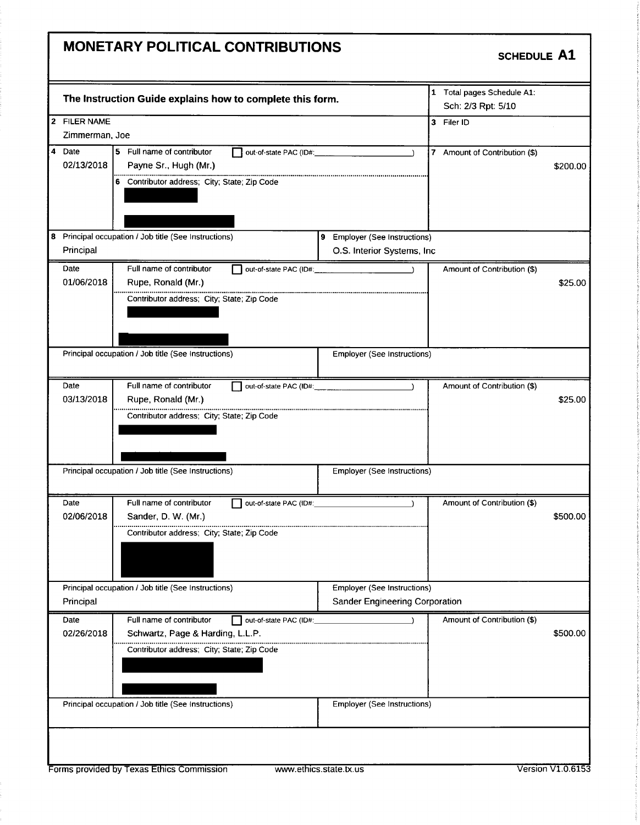# MONETARY POLITICAL CONTRIBUTIONS

#### SCHEDULE A1

|                      | The Instruction Guide explains how to complete this form.                     |                                       | 1 Total pages Schedule A1:<br>Sch: 2/3 Rpt: 5/10 |                   |
|----------------------|-------------------------------------------------------------------------------|---------------------------------------|--------------------------------------------------|-------------------|
| 2 FILER NAME         |                                                                               |                                       | 3 Filer ID                                       |                   |
| Zimmerman, Joe       |                                                                               |                                       |                                                  |                   |
| 4 Date<br>02/13/2018 | 5 Full name of contributor<br>out-of-state PAC (ID#:<br>Payne Sr., Hugh (Mr.) |                                       | 7 Amount of Contribution (\$)                    | \$200.00          |
|                      | 6 Contributor address; City; State; Zip Code                                  |                                       |                                                  |                   |
|                      | 8 Principal occupation / Job title (See Instructions)                         | 9 Employer (See Instructions)         |                                                  |                   |
| Principal            |                                                                               | O.S. Interior Systems, Inc.           |                                                  |                   |
| Date                 | Full name of contributor                                                      |                                       | Amount of Contribution (\$)                      |                   |
| 01/06/2018           | Rupe, Ronald (Mr.)                                                            |                                       |                                                  | \$25.00           |
|                      | Contributor address; City; State; Zip Code                                    |                                       |                                                  |                   |
|                      |                                                                               |                                       |                                                  |                   |
|                      |                                                                               |                                       |                                                  |                   |
|                      |                                                                               |                                       |                                                  |                   |
|                      | Principal occupation / Job title (See Instructions)                           | Employer (See Instructions)           |                                                  |                   |
|                      |                                                                               |                                       |                                                  |                   |
| Date                 | Full name of contributor                                                      |                                       | Amount of Contribution (\$)                      |                   |
| 03/13/2018           | Rupe, Ronald (Mr.)                                                            |                                       |                                                  | \$25.00           |
|                      |                                                                               |                                       |                                                  |                   |
|                      | Contributor address; City; State; Zip Code                                    |                                       |                                                  |                   |
|                      | Principal occupation / Job title (See Instructions)                           | <b>Employer (See Instructions)</b>    |                                                  |                   |
| Date                 | Full name of contributor<br>out-of-state PAC (ID#:                            |                                       | Amount of Contribution (\$)                      |                   |
| 02/06/2018           | Sander, D. W. (Mr.)                                                           |                                       |                                                  | \$500.00          |
|                      | Contributor address; City; State; Zip Code                                    |                                       |                                                  |                   |
|                      |                                                                               |                                       |                                                  |                   |
|                      | Principal occupation / Job title (See Instructions)                           | <b>Employer (See Instructions)</b>    |                                                  |                   |
| Principal            |                                                                               | <b>Sander Engineering Corporation</b> |                                                  |                   |
| Date                 | Full name of contributor<br>out-of-state PAC (ID#:                            |                                       | Amount of Contribution (\$)                      |                   |
| 02/26/2018           | Schwartz, Page & Harding, L.L.P.                                              |                                       |                                                  | \$500.00          |
|                      |                                                                               |                                       |                                                  |                   |
|                      | Contributor address: City; State; Zip Code                                    |                                       |                                                  |                   |
|                      | Principal occupation / Job title (See Instructions)                           | <b>Employer (See Instructions)</b>    |                                                  |                   |
|                      |                                                                               |                                       |                                                  |                   |
|                      |                                                                               |                                       |                                                  |                   |
|                      |                                                                               |                                       |                                                  |                   |
|                      |                                                                               |                                       |                                                  | Version V1.0.6153 |
|                      | Forms provided by Texas Ethics Commission                                     | www.ethics.state.tx.us                |                                                  |                   |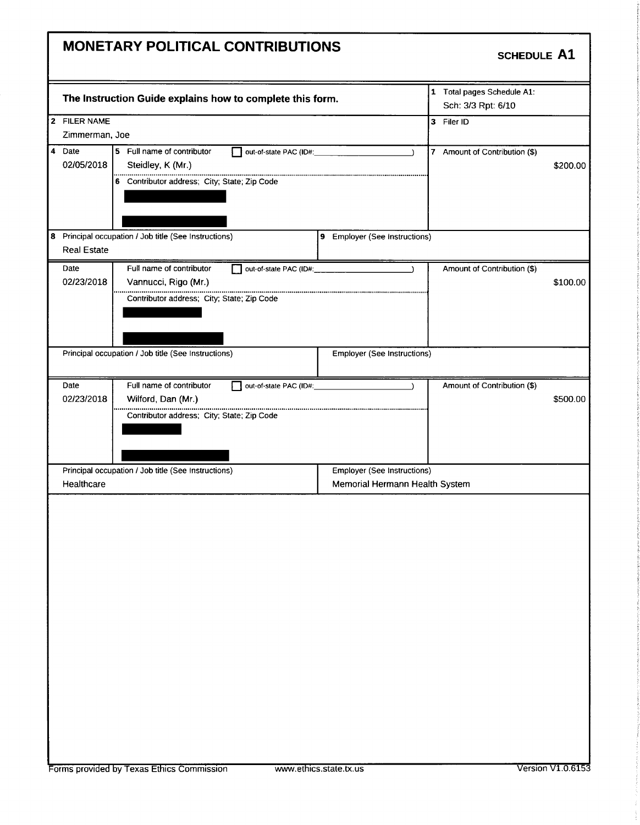#### MONETARY POLITICAL CONTRIBUTIONS

### SCHEDULE A1

|                      | The Instruction Guide explains how to complete this form. |                |                                    | 1 Total pages Schedule A1:<br>Sch: 3/3 Rpt: 6/10 |          |
|----------------------|-----------------------------------------------------------|----------------|------------------------------------|--------------------------------------------------|----------|
| 2 FILER NAME         |                                                           |                |                                    | 3 Filer ID                                       |          |
|                      | Zimmerman, Joe                                            |                |                                    |                                                  |          |
| 4 Date<br>02/05/2018 | 5 Full name of contributor<br>Steidley, K (Mr.)           |                | $\Delta$                           | 7 Amount of Contribution (\$)                    | \$200.00 |
|                      | 6 Contributor address; City; State; Zip Code              |                |                                    |                                                  |          |
|                      | 8 Principal occupation / Job title (See Instructions)     |                | 9 Employer (See Instructions)      |                                                  |          |
| <b>Real Estate</b>   |                                                           |                |                                    |                                                  |          |
| Date                 | Full name of contributor                                  |                | $\rightarrow$                      | Amount of Contribution (\$)                      |          |
| 02/23/2018           | Vannucci, Rigo (Mr.)                                      |                |                                    |                                                  | \$100.00 |
|                      | Contributor address; City; State; Zip Code                |                |                                    |                                                  |          |
|                      | Principal occupation / Job title (See Instructions)       |                | <b>Employer (See Instructions)</b> |                                                  |          |
| Date                 | Full name of contributor                                  | $\blacksquare$ |                                    | Amount of Contribution (\$)                      |          |
|                      |                                                           |                |                                    |                                                  |          |
| 02/23/2018           | Wilford, Dan (Mr.)                                        |                |                                    |                                                  | \$500.00 |
|                      | Contributor address; City; State; Zip Code                |                |                                    |                                                  |          |
|                      | Principal occupation / Job title (See Instructions)       |                | <b>Employer (See Instructions)</b> |                                                  |          |
| Healthcare           |                                                           |                | Memorial Hermann Health System     |                                                  |          |
|                      |                                                           |                |                                    |                                                  |          |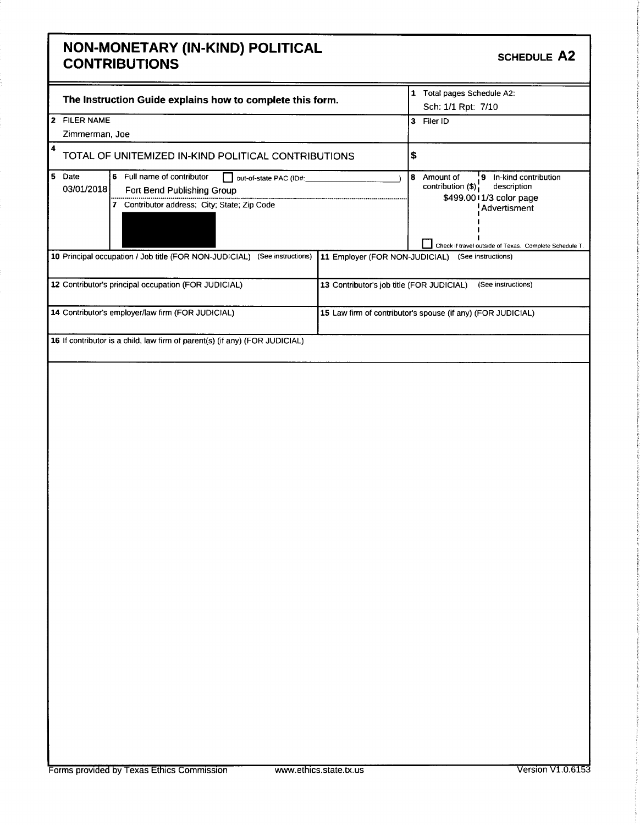#### NON- MONETARY (IN- KIND) POLITICAL CONTRIBUTIONS

| The Instruction Guide explains how to complete this form.<br>2 FILER NAME<br>Zimmerman, Joe |                                                      |    | Total pages Schedule A2:<br>1<br>Sch: 1/1 Rpt: 7/10                                                      |  |
|---------------------------------------------------------------------------------------------|------------------------------------------------------|----|----------------------------------------------------------------------------------------------------------|--|
|                                                                                             |                                                      |    | Filer ID<br>13.                                                                                          |  |
|                                                                                             |                                                      |    |                                                                                                          |  |
| 4<br>TOTAL OF UNITEMIZED IN-KIND POLITICAL CONTRIBUTIONS                                    |                                                      | \$ |                                                                                                          |  |
| 5.<br>Date<br>6 Full name of contributor<br>03/01/2018<br>Fort Bend Publishing Group        | out-of-state PAC (ID#:                               | 8  | In-kind contribution<br>۰9.<br>Amount of<br>contribution (\$);<br>description<br>\$499.0011/3 color page |  |
|                                                                                             | Contributor address; City; State; Zip Code           |    |                                                                                                          |  |
| 10 Principal occupation / Job title (FOR NON-JUDICIAL)                                      | (See instructions)<br>11 Employer (FOR NON-JUDICIAL) |    | (See instructions)                                                                                       |  |
| 12 Contributor's principal occupation (FOR JUDICIAL)                                        | 13 Contributor's job title (FOR JUDICIAL)            |    | (See instructions)                                                                                       |  |
| 14 Contributor's employer/law firm (FOR JUDICIAL)                                           |                                                      |    | 15 Law firm of contributor's spouse (if any) (FOR JUDICIAL)                                              |  |
| 16 If contributor is a child, law firm of parent(s) (if any) (FOR JUDICIAL)                 |                                                      |    |                                                                                                          |  |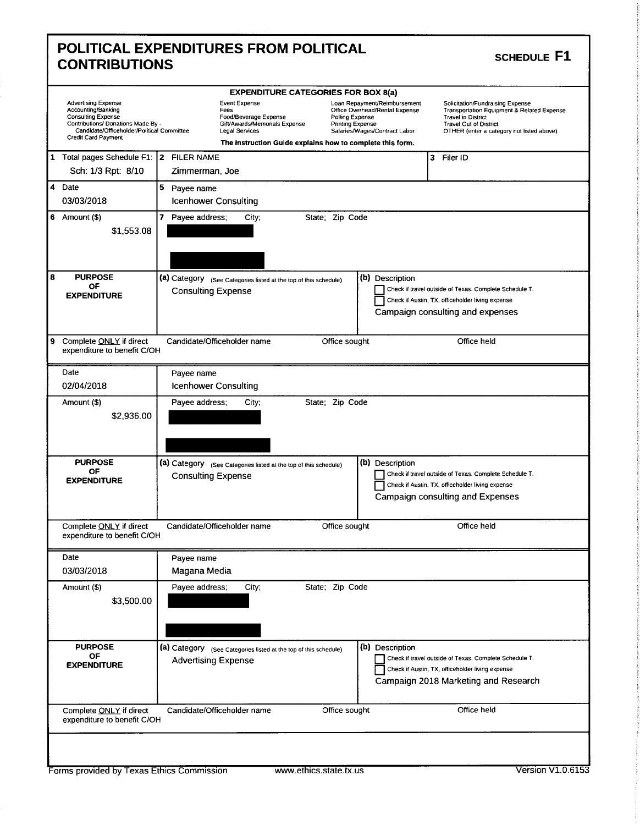| <b>POLITICAL EXPENDITURES FROM POLITICAL</b> |
|----------------------------------------------|
| <b>CONTRIBUTIONS</b>                         |

#### SCHEDULE F1

| <b>Advertising Expense</b><br>Accounting/Banking<br><b>Consulting Expense</b><br>Contributions/ Donations Made By -<br>Candidate/Officeholder/Political Committee<br><b>Credit Card Payment</b> | <b>EXPENDITURE CATEGORIES FOR BOX 8(a)</b><br>Event Expense<br>Loan Repayment/Reimbursement<br>Solicitation/Fundraising Expense<br>Office Overhead/Rental Expense<br>Fees<br><b>Transportation Equipment &amp; Related Expense</b><br>Food/Beverage Expense<br>Polling Expense<br><b>Travel in District</b><br>Gift/Awards/Memorials Expense<br>Printing Expense<br><b>Travel Out of District</b><br>Legal Services<br>Salaries/Wages/Contract Labor<br>OTHER (enter a category not listed above)<br>The instruction Guide explains how to complete this form. |
|-------------------------------------------------------------------------------------------------------------------------------------------------------------------------------------------------|----------------------------------------------------------------------------------------------------------------------------------------------------------------------------------------------------------------------------------------------------------------------------------------------------------------------------------------------------------------------------------------------------------------------------------------------------------------------------------------------------------------------------------------------------------------|
| 1 Total pages Schedule F1: 2 FILER NAME                                                                                                                                                         | 3 Filer ID                                                                                                                                                                                                                                                                                                                                                                                                                                                                                                                                                     |
| Sch: 1/3 Rpt: 8/10                                                                                                                                                                              | Zimmerman, Joe                                                                                                                                                                                                                                                                                                                                                                                                                                                                                                                                                 |
| 4 Date                                                                                                                                                                                          | 5 Payee name                                                                                                                                                                                                                                                                                                                                                                                                                                                                                                                                                   |
| 03/03/2018                                                                                                                                                                                      | <b>Icenhower Consulting</b>                                                                                                                                                                                                                                                                                                                                                                                                                                                                                                                                    |
| 6 Amount $(\$)$<br>\$1,553.08                                                                                                                                                                   | 7 Payee address;<br>State: Zip Code<br>City;                                                                                                                                                                                                                                                                                                                                                                                                                                                                                                                   |
| 8<br><b>PURPOSE</b><br>ΟF                                                                                                                                                                       | (a) Category (See Categories listed at the top of this schedule)<br>(b) Description                                                                                                                                                                                                                                                                                                                                                                                                                                                                            |
| <b>EXPENDITURE</b>                                                                                                                                                                              | Check if travel outside of Texas. Complete Schedule T.<br><b>Consulting Expense</b>                                                                                                                                                                                                                                                                                                                                                                                                                                                                            |
|                                                                                                                                                                                                 | Check if Austin, TX, officeholder living expense<br>Campaign consulting and expenses                                                                                                                                                                                                                                                                                                                                                                                                                                                                           |
|                                                                                                                                                                                                 |                                                                                                                                                                                                                                                                                                                                                                                                                                                                                                                                                                |
| 9<br>Complete ONLY if direct<br>expenditure to benefit C/OH                                                                                                                                     | Candidate/Officeholder name<br>Office held<br>Office sought                                                                                                                                                                                                                                                                                                                                                                                                                                                                                                    |
| Date                                                                                                                                                                                            | Payee name                                                                                                                                                                                                                                                                                                                                                                                                                                                                                                                                                     |
| 02/04/2018                                                                                                                                                                                      | <b>Icenhower Consulting</b>                                                                                                                                                                                                                                                                                                                                                                                                                                                                                                                                    |
| Amount (\$)                                                                                                                                                                                     | Payee address;<br>State: Zip Code<br>City:                                                                                                                                                                                                                                                                                                                                                                                                                                                                                                                     |
| \$2,936.00                                                                                                                                                                                      |                                                                                                                                                                                                                                                                                                                                                                                                                                                                                                                                                                |
| <b>PURPOSE</b>                                                                                                                                                                                  |                                                                                                                                                                                                                                                                                                                                                                                                                                                                                                                                                                |
| ΟF                                                                                                                                                                                              | (a) Category (See Categories listed at the top of this schedule)<br>(b) Description<br>Check if travel outside of Texas. Complete Schedule T.                                                                                                                                                                                                                                                                                                                                                                                                                  |
| <b>EXPENDITURE</b>                                                                                                                                                                              | <b>Consulting Expense</b><br>Check if Austin, TX, officeholder living expense                                                                                                                                                                                                                                                                                                                                                                                                                                                                                  |
|                                                                                                                                                                                                 | Campaign consulting and Expenses                                                                                                                                                                                                                                                                                                                                                                                                                                                                                                                               |
| Complete ONLY if direct<br>expenditure to benefit C/OH                                                                                                                                          | Office held<br>Candidate/Officeholder name<br>Office sought                                                                                                                                                                                                                                                                                                                                                                                                                                                                                                    |
| Date                                                                                                                                                                                            | Payee name                                                                                                                                                                                                                                                                                                                                                                                                                                                                                                                                                     |
| 03/03/2018                                                                                                                                                                                      | Magana Media                                                                                                                                                                                                                                                                                                                                                                                                                                                                                                                                                   |
| Amount (\$)<br>\$3,500.00                                                                                                                                                                       | State; Zip Code<br>Payee address;<br>City;                                                                                                                                                                                                                                                                                                                                                                                                                                                                                                                     |
| <b>PURPOSE</b>                                                                                                                                                                                  | (b) Description<br>(a) Category (See Categories listed at the top of this schedule)                                                                                                                                                                                                                                                                                                                                                                                                                                                                            |
| OF<br><b>EXPENDITURE</b>                                                                                                                                                                        | Check if travel outside of Texas. Complete Schedule T.<br><b>Advertising Expense</b>                                                                                                                                                                                                                                                                                                                                                                                                                                                                           |
|                                                                                                                                                                                                 | Check if Austin, TX, officeholder living expense<br>Campaign 2018 Marketing and Research                                                                                                                                                                                                                                                                                                                                                                                                                                                                       |
| Complete ONLY if direct<br>expenditure to benefit C/OH                                                                                                                                          | Office held<br>Candidate/Officeholder name<br>Office sought                                                                                                                                                                                                                                                                                                                                                                                                                                                                                                    |
|                                                                                                                                                                                                 |                                                                                                                                                                                                                                                                                                                                                                                                                                                                                                                                                                |
|                                                                                                                                                                                                 |                                                                                                                                                                                                                                                                                                                                                                                                                                                                                                                                                                |
| Forms provided by Texas Ethics Commission                                                                                                                                                       | <b>Version V1.0.6153</b><br>www.ethics.state.tx.us                                                                                                                                                                                                                                                                                                                                                                                                                                                                                                             |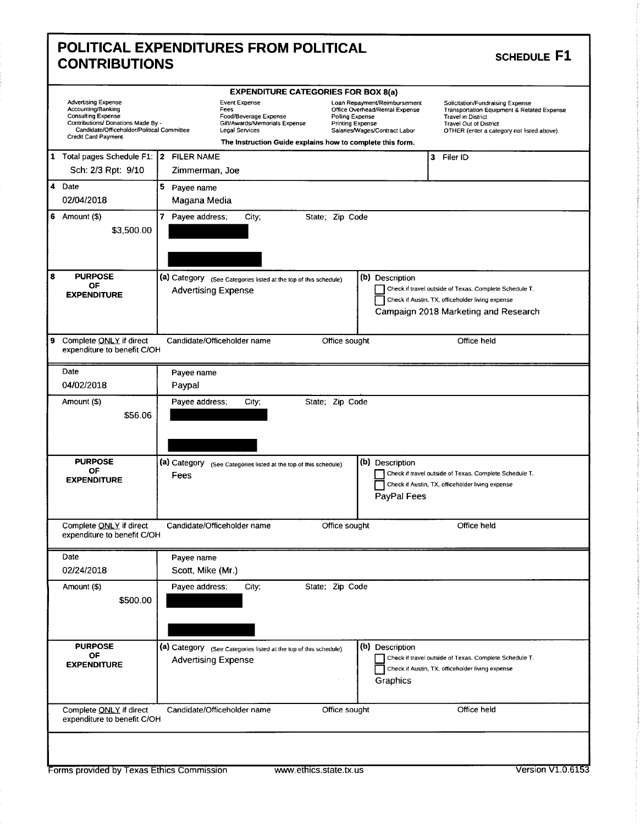| <b>POLITICAL EXPENDITURES FROM POLITICAL</b><br><b>CONTRIBUTIONS</b> |  |
|----------------------------------------------------------------------|--|
| <b>EXPENDITURE CATEGORIES FOR BOX 8(a)</b>                           |  |

### SCHEDULE F1

|                                                                                                                                                                                                 |                                                                                                                 | <b>EXPENDITURE CATEGORIES FOR BOX 8(a)</b>                                                                                                                                                                 |                                                                                                                                                                                                      |
|-------------------------------------------------------------------------------------------------------------------------------------------------------------------------------------------------|-----------------------------------------------------------------------------------------------------------------|------------------------------------------------------------------------------------------------------------------------------------------------------------------------------------------------------------|------------------------------------------------------------------------------------------------------------------------------------------------------------------------------------------------------|
| <b>Advertising Expense</b><br>Accounting/Banking<br><b>Consulting Expense</b><br>Contributions/ Donations Made By -<br>Candidate/Officeholder/Political Committee<br><b>Credit Card Payment</b> | <b>Event Expense</b><br>Fees<br>Food/Beverage Expense<br>Gift/Awards/Memorials Expense<br><b>Legal Services</b> | Loan Repayment/Reimbursement<br>Office Overhead/Rental Expense<br>Polling Expense<br><b>Printing Expense</b><br>Salaries/Wages/Contract Labor<br>The instruction Guide explains how to complete this form. | Solicitation/Fundraising Expense<br><b>Transportation Equipment &amp; Related Expense</b><br><b>Travel in District</b><br><b>Travel Out of District</b><br>OTHER (enter a category not listed above) |
| $\mathbf{1}$<br>Total pages Schedule F1:  2 FILER NAME<br>Sch: 2/3 Rpt: 9/10                                                                                                                    | Zimmerman, Joe                                                                                                  |                                                                                                                                                                                                            | 3 Filer ID                                                                                                                                                                                           |
| 4 Date<br>02/04/2018                                                                                                                                                                            | 5 Payee name<br>Magana Media                                                                                    |                                                                                                                                                                                                            |                                                                                                                                                                                                      |
| 6 Amount $(\$)$<br>\$3,500.00                                                                                                                                                                   | 7 Payee address;<br>City;                                                                                       | State; Zip Code                                                                                                                                                                                            |                                                                                                                                                                                                      |
| 8<br><b>PURPOSE</b><br>OF<br><b>EXPENDITURE</b>                                                                                                                                                 | (a) Category (See Categories listed at the top of this schedule)<br><b>Advertising Expense</b>                  | (b) Description                                                                                                                                                                                            | Check if travel outside of Texas. Complete Schedule T.<br>Check if Austin, TX, officeholder living expense<br>Campaign 2018 Marketing and Research                                                   |
| 9<br>Complete ONLY if direct<br>expenditure to benefit C/OH                                                                                                                                     | Candidate/Officeholder name                                                                                     | Office sought                                                                                                                                                                                              | Office held                                                                                                                                                                                          |
| Date<br>04/02/2018                                                                                                                                                                              | Payee name<br>Paypal                                                                                            |                                                                                                                                                                                                            |                                                                                                                                                                                                      |
| Amount (\$)<br>\$56.06                                                                                                                                                                          | Payee address;<br>City;                                                                                         | State; Zip Code                                                                                                                                                                                            |                                                                                                                                                                                                      |
| <b>PURPOSE</b><br>ОF<br><b>EXPENDITURE</b>                                                                                                                                                      | (a) Category<br>(See Categories listed at the top of this schedule)<br>Fees                                     | (b) Description<br>PayPal Fees                                                                                                                                                                             | Check if travel outside of Texas. Complete Schedule T.<br>Check if Austin, TX, officeholder living expense                                                                                           |
| Complete ONLY if direct<br>expenditure to benefit C/OH                                                                                                                                          | Candidate/Officeholder name                                                                                     | Office sought                                                                                                                                                                                              | Office held                                                                                                                                                                                          |
| Date<br>02/24/2018                                                                                                                                                                              | Payee name<br>Scott, Mike (Mr.)                                                                                 |                                                                                                                                                                                                            |                                                                                                                                                                                                      |
| Amount (\$)<br>\$500.00                                                                                                                                                                         | Payee address;<br>City;                                                                                         | State; Zip Code                                                                                                                                                                                            |                                                                                                                                                                                                      |
| <b>PURPOSE</b><br>OF<br><b>EXPENDITURE</b>                                                                                                                                                      | (a) Category (See Categories listed at the top of this schedule)<br><b>Advertising Expense</b>                  | (b) Description<br>Graphics                                                                                                                                                                                | Check if travel outside of Texas. Complete Schedule T.<br>Check if Austin, TX, officeholder living expense                                                                                           |
| Complete ONLY if direct<br>expenditure to benefit C/OH                                                                                                                                          | Candidate/Officeholder name                                                                                     | Office sought                                                                                                                                                                                              | Office held                                                                                                                                                                                          |
|                                                                                                                                                                                                 |                                                                                                                 |                                                                                                                                                                                                            |                                                                                                                                                                                                      |
| Forms provided by Texas Ethics Commission                                                                                                                                                       |                                                                                                                 | www.ethics.state.tx.us                                                                                                                                                                                     | Version V1.0.6153                                                                                                                                                                                    |